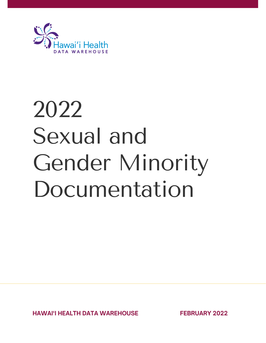

# 2022 Sexual and Gender Minority Documentation

**HAWAI'I HEALTH DATA WAREHOUSE FEBRUARY 2022**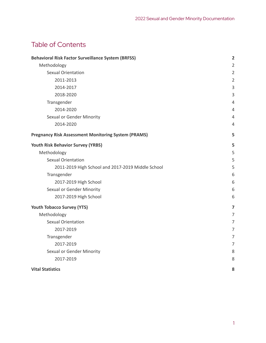# Table of Contents

| <b>Behavioral Risk Factor Surveillance System (BRFSS)</b>  | $\overline{2}$ |
|------------------------------------------------------------|----------------|
| Methodology                                                | $\overline{2}$ |
| <b>Sexual Orientation</b>                                  | $\overline{2}$ |
| 2011-2013                                                  | $\overline{2}$ |
| 2014-2017                                                  | 3              |
| 2018-2020                                                  | 3              |
| Transgender                                                | 4              |
| 2014-2020                                                  | 4              |
| Sexual or Gender Minority                                  | 4              |
| 2014-2020                                                  | 4              |
| <b>Pregnancy Risk Assessment Monitoring System (PRAMS)</b> | 5              |
| <b>Youth Risk Behavior Survey (YRBS)</b>                   | 5              |
| Methodology                                                | 5              |
| <b>Sexual Orientation</b>                                  | 5              |
| 2011-2019 High School and 2017-2019 Middle School          | 5              |
| Transgender                                                | 6              |
| 2017-2019 High School                                      | 6              |
| Sexual or Gender Minority                                  | 6              |
| 2017-2019 High School                                      | 6              |
| <b>Youth Tobacco Survey (YTS)</b>                          | $\overline{7}$ |
| Methodology                                                | 7              |
| <b>Sexual Orientation</b>                                  | 7              |
| 2017-2019                                                  | $\overline{7}$ |
| Transgender                                                | $\overline{7}$ |
| 2017-2019                                                  | 7              |
| Sexual or Gender Minority                                  | 8              |
| 2017-2019                                                  | 8              |
| <b>Vital Statistics</b>                                    | 8              |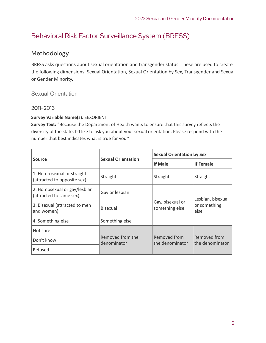# <span id="page-2-0"></span>Behavioral Risk Factor Surveillance System (BRFSS)

## <span id="page-2-1"></span>Methodology

BRFSS asks questions about sexual orientation and transgender status. These are used to create the following dimensions: Sexual Orientation, Sexual Orientation by Sex, Transgender and Sexual or Gender Minority.

## <span id="page-2-2"></span>Sexual Orientation

## <span id="page-2-3"></span>2011-2013

## **Survey Variable Name(s):** SEXORIENT

**Survey Text:** "Because the Department of Health wants to ensure that this survey reflects the diversity of the state, I'd like to ask you about your sexual orientation. Please respond with the number that best indicates what is true for you."

|                                                            |                                 | <b>Sexual Orientation by Sex</b>   |                                 |
|------------------------------------------------------------|---------------------------------|------------------------------------|---------------------------------|
| <b>Source</b>                                              | <b>Sexual Orientation</b>       | <b>If Male</b>                     | <b>If Female</b>                |
| 1. Heterosexual or straight<br>(attracted to opposite sex) | Straight                        | Straight                           | Straight                        |
| 2. Homosexual or gay/lesbian<br>(attracted to same sex)    | Gay or lesbian                  |                                    | Lesbian, bisexual               |
| 3. Bisexual (attracted to men<br>and women)                | <b>Bisexual</b>                 | Gay, bisexual or<br>something else | or something<br>else            |
| 4. Something else                                          | Something else                  |                                    |                                 |
| Not sure                                                   |                                 |                                    |                                 |
| Don't know                                                 | Removed from the<br>denominator | Removed from<br>the denominator    | Removed from<br>the denominator |
| Refused                                                    |                                 |                                    |                                 |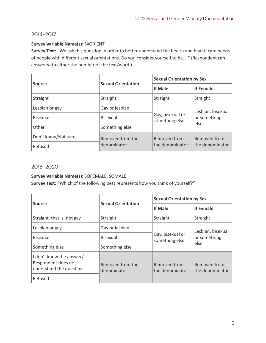## <span id="page-3-0"></span>2014-2017

#### **Survey Variable Name(s):** SXORIENT

**Survey Text: "**We ask this question in order to better understand the health and health care needs of people with different sexual orientations. Do you consider yourself to be…" (Respondent can answer with either the number or the text/word.)

|                     |                           | <b>Sexual Orientation by Sex</b>   |                   |
|---------------------|---------------------------|------------------------------------|-------------------|
| <b>Source</b>       | <b>Sexual Orientation</b> | <b>If Male</b>                     | <b>If Female</b>  |
| Straight            | Straight                  | Straight                           | Straight          |
| Lesbian or gay      | Gay or lesbian            |                                    | Lesbian, bisexual |
| <b>Bisexual</b>     | <b>Bisexual</b>           | Gay, bisexual or<br>something else | or something      |
| Other               | Something else            |                                    | else              |
| Don't know/Not sure | Removed from the          | Removed from                       | Removed from      |
| Refused             | denominator               | the denominator                    | the denominator   |

#### <span id="page-3-1"></span>2018-2020

#### **Survey Variable Name(s):** SOFEMALE, SOMALE

**Survey Text: "**Which of the following best represents how you think of yourself?"

|                                                                            |                                 | <b>Sexual Orientation by Sex</b>           |                                 |
|----------------------------------------------------------------------------|---------------------------------|--------------------------------------------|---------------------------------|
| <b>Source</b>                                                              | <b>Sexual Orientation</b>       | <b>If Male</b>                             | <b>If Female</b>                |
| Straight, that is, not gay                                                 | Straight                        | Straight                                   | Straight                        |
| Lesbian or gay                                                             | Gay or lesbian                  | Gay, bisexual or<br>something else<br>else | Lesbian, bisexual               |
| <b>Bisexual</b>                                                            | <b>Bisexual</b>                 |                                            | or something                    |
| Something else                                                             | Something else                  |                                            |                                 |
| I don't know the answer/<br>Respondent does not<br>understand the question | Removed from the<br>denominator | Removed from<br>the denominator            | Removed from<br>the denominator |
| Refused                                                                    |                                 |                                            |                                 |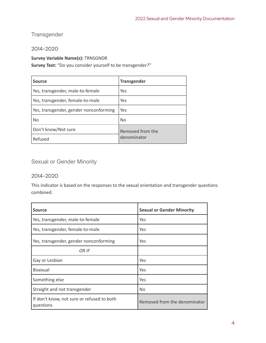## <span id="page-4-0"></span>**Transgender**

## <span id="page-4-1"></span>2014-2020

## **Survey Variable Name(s):** TRNSGNDR

**Survey Text:** "Do you consider yourself to be transgender?"

| <b>Source</b>                          | <b>Transgender</b> |
|----------------------------------------|--------------------|
| Yes, transgender, male-to-female       | Yes                |
| Yes, transgender, female-to-male       | Yes                |
| Yes, transgender, gender nonconforming | Yes                |
| No                                     | <b>No</b>          |
| Don't know/Not sure                    | Removed from the   |
| Refused                                | denominator        |

## <span id="page-4-2"></span>Sexual or Gender Minority

## <span id="page-4-3"></span>2014-2020

This indicator is based on the responses to the sexual orientation and transgender questions combined.

| <b>Source</b>                                           | <b>Sexual or Gender Minority</b> |
|---------------------------------------------------------|----------------------------------|
| Yes, transgender, male-to-female                        | Yes                              |
| Yes, transgender, female-to-male                        | Yes                              |
| Yes, transgender, gender nonconforming                  | Yes                              |
| OR IF                                                   |                                  |
| Gay or Lesbian                                          | Yes                              |
| <b>Bisexual</b>                                         | Yes                              |
| Something else                                          | Yes                              |
| Straight and not transgender                            | N <sub>0</sub>                   |
| If don't know, not sure or refused to both<br>questions | Removed from the denominator     |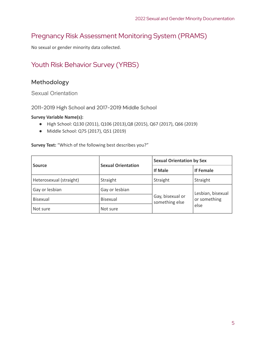## <span id="page-5-0"></span>Pregnancy Risk Assessment Monitoring System (PRAMS)

<span id="page-5-1"></span>No sexual or gender minority data collected.

## Youth Risk Behavior Survey (YRBS)

## <span id="page-5-2"></span>Methodology

<span id="page-5-3"></span>Sexual Orientation

<span id="page-5-4"></span>2011-2019 High School and 2017-2019 Middle School

#### **Survey Variable Name(s):**

- High School: Q130 (2011), Q106 (2013),Q8 (2015), Q67 (2017), Q66 (2019)
- Middle School: Q75 (2017), Q51 (2019)

**Survey Text:** "Which of the following best describes you?"

|                         | <b>Sexual Orientation</b> | <b>Sexual Orientation by Sex</b>   |                   |
|-------------------------|---------------------------|------------------------------------|-------------------|
| <b>Source</b>           |                           | <b>If Male</b>                     | <b>If Female</b>  |
| Heterosexual (straight) | Straight                  | Straight                           | Straight          |
| Gay or lesbian          | Gay or lesbian            |                                    | Lesbian, bisexual |
| <b>Bisexual</b>         | <b>Bisexual</b>           | Gay, bisexual or<br>something else | or something      |
| Not sure                | Not sure                  |                                    | else              |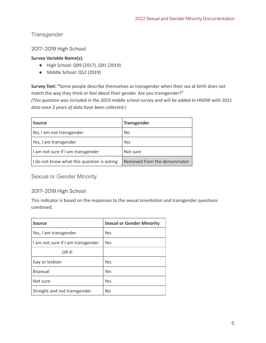<span id="page-6-0"></span>**Transgender** 

<span id="page-6-1"></span>2017-2019 High School

## **Survey Variable Name(s):**

- High School: Q99 (2017), Q91 (2019)
- Middle School: Q52 (2019)

**Survey Text: "**Some people describe themselves as transgender when their sex at birth does not match the way they think or feel about their gender. Are you transgender?"

*(This question was included in the 2019 middle school survey and will be added to HHDW with 2021 data once 2 years of data have been collected.)*

| <b>Source</b>                              | <b>Transgender</b>           |
|--------------------------------------------|------------------------------|
| No, I am not transgender                   | N <sub>o</sub>               |
| Yes, I am transgender                      | Yes                          |
| I am not sure if I am transgender          | Not sure                     |
| I do not know what this question is asking | Removed from the denominator |

<span id="page-6-2"></span>Sexual or Gender Minority

## <span id="page-6-3"></span>2017-2019 High School

This indicator is based on the responses to the sexual orientation and transgender questions combined.

| <b>Source</b>                     | <b>Sexual or Gender Minority</b> |
|-----------------------------------|----------------------------------|
| Yes, I am transgender             | Yes                              |
| I am not sure if I am transgender | Yes                              |
| OR IF                             |                                  |
| Gay or lesbian                    | Yes                              |
| <b>Bisexual</b>                   | Yes                              |
| Not sure                          | Yes                              |
| Straight and not transgender      | <b>No</b>                        |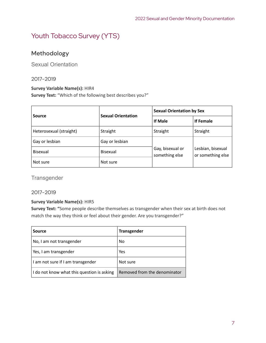# <span id="page-7-0"></span>Youth Tobacco Survey (YTS)

## <span id="page-7-1"></span>Methodology

<span id="page-7-2"></span>Sexual Orientation

## <span id="page-7-3"></span>2017-2019

#### **Survey Variable Name(s):** HIR4

**Survey Text:** "Which of the following best describes you?"

|                         | <b>Sexual Orientation</b> | <b>Sexual Orientation by Sex</b>   |                                        |
|-------------------------|---------------------------|------------------------------------|----------------------------------------|
| <b>Source</b>           |                           | If Male                            | <b>If Female</b>                       |
| Heterosexual (straight) | Straight                  | Straight                           | Straight                               |
| Gay or lesbian          | Gay or lesbian            |                                    |                                        |
| Bisexual                | Bisexual                  | Gay, bisexual or<br>something else | Lesbian, bisexual<br>or something else |
| Not sure                | Not sure                  |                                    |                                        |

<span id="page-7-4"></span>**Transgender** 

## <span id="page-7-5"></span>2017-2019

#### **Survey Variable Name(s):** HIR5

**Survey Text: "**Some people describe themselves as transgender when their sex at birth does not match the way they think or feel about their gender. Are you transgender?"

| <b>Source</b>                              | <b>Transgender</b>           |
|--------------------------------------------|------------------------------|
| No, I am not transgender                   | <b>No</b>                    |
| Yes, I am transgender                      | Yes                          |
| I am not sure if I am transgender          | Not sure                     |
| I do not know what this question is asking | Removed from the denominator |